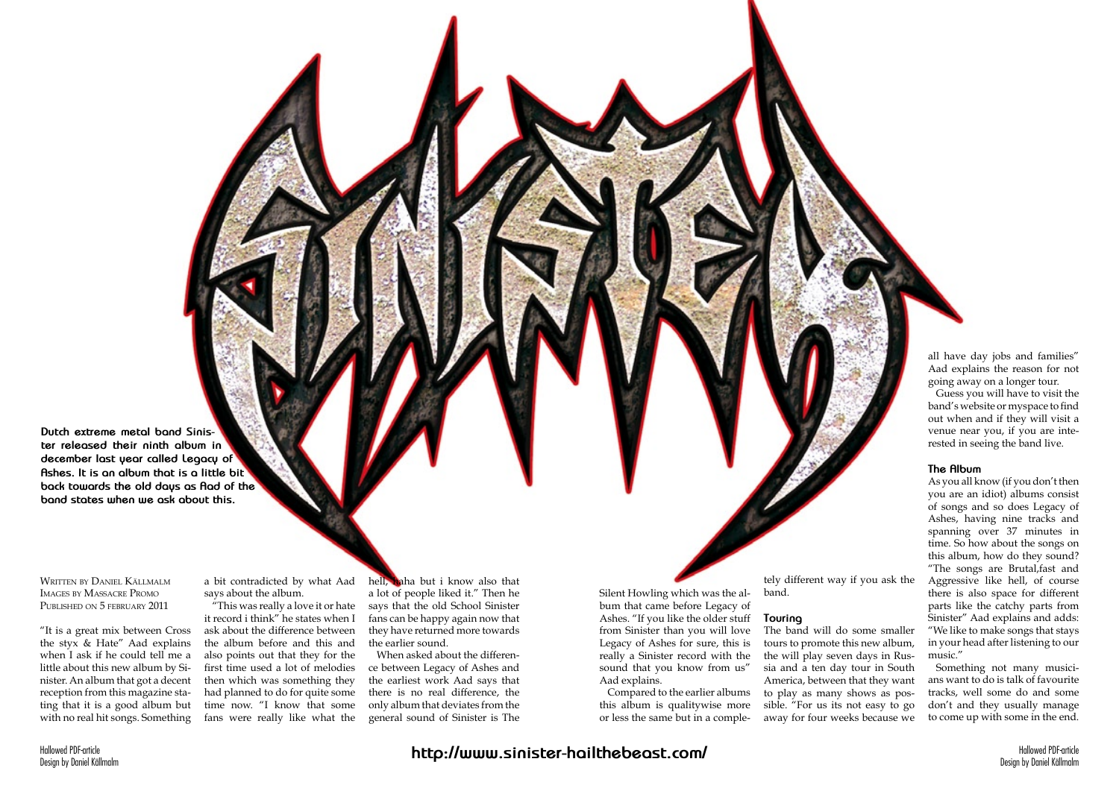**Dutch extreme metal band Sinister released their ninth album in december last year called Legacy of Ashes. It is an album that is a little bit back towards the old days as Aad of the band states when we ask about this.**

Written by Daniel Källmalm Images by Massacre Promo Published on 5 february 2011

"It is a great mix between Cross the styx & Hate" Aad explains when I ask if he could tell me a little about this new album by Sinister. An album that got a decent reception from this magazine stating that it is a good album but with no real hit songs. Something

a bit contradicted by what Aad says about the album.

"This was really a love it or hate it record i think" he states when I ask about the difference between the album before and this and also points out that they for the first time used a lot of melodies then which was something they had planned to do for quite some time now. "I know that some fans were really like what the hell, haha but i know also that a lot of people liked it." Then he says that the old School Sinister fans can be happy again now that they have returned more towards the earlier sound.

When asked about the difference between Legacy of Ashes and the earliest work Aad says that there is no real difference, the only album that deviates from the general sound of Sinister is The Silent Howling which was the album that came before Legacy of Ashes. "If you like the older stuff from Sinister than you will love Legacy of Ashes for sure, this is really a Sinister record with the sound that you know from us" Aad explains.

Compared to the earlier albums this album is qualitywise more or less the same but in a comple-

tely different way if you ask the band.

#### **Touring**

The band will do some smaller tours to promote this new album, the will play seven days in Russia and a ten day tour in South America, between that they want to play as many shows as possible. "For us its not easy to go away for four weeks because we all have day jobs and families" Aad explains the reason for not going away on a longer tour.

Guess you will have to visit the band's website or myspace to find out when and if they will visit a venue near you, if you are interested in seeing the band live.

### **The Album**

As you all know (if you don't then you are an idiot) albums consist of songs and so does Legacy of Ashes, having nine tracks and spanning over 37 minutes in time. So how about the songs on this album, how do they sound? "The songs are Brutal,fast and Aggressive like hell, of course there is also space for different parts like the catchy parts from Sinister" Aad explains and adds: "We like to make songs that stays in your head after listening to our music."

Something not many musicians want to do is talk of favourite tracks, well some do and some don't and they usually manage to come up with some in the end.

# **http://www.sinister-hailthebeast.com/**